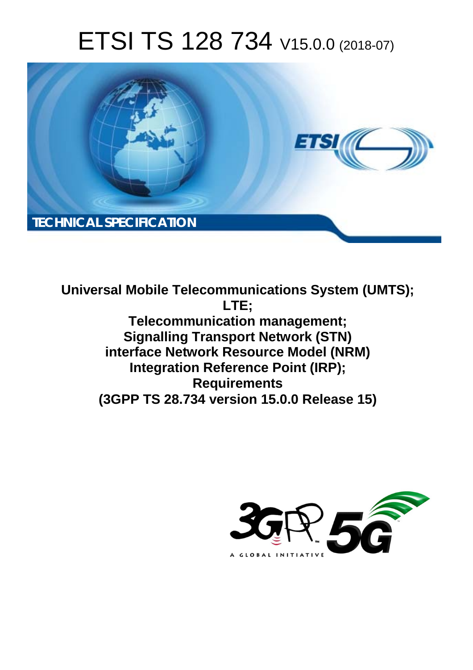# ETSI TS 128 734 V15.0.0 (2018-07)



**Universal Mobile Telecommunications System (UMTS); LTE; Telecommunication management; Signalling Transport Network (STN) interface Network Resource Model (NRM) Integration Reference Point (IRP); Requirements (3GPP TS 28.734 version 15.0.0 Release 15)** 

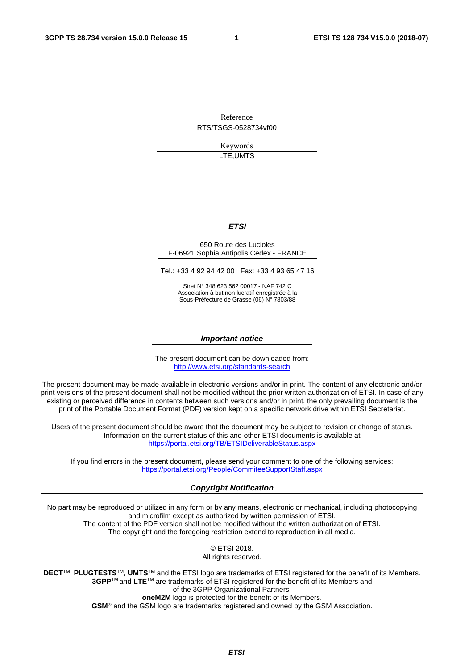Reference RTS/TSGS-0528734vf00

> Keywords LTE,UMTS

#### *ETSI*

#### 650 Route des Lucioles F-06921 Sophia Antipolis Cedex - FRANCE

Tel.: +33 4 92 94 42 00 Fax: +33 4 93 65 47 16

Siret N° 348 623 562 00017 - NAF 742 C Association à but non lucratif enregistrée à la Sous-Préfecture de Grasse (06) N° 7803/88

#### *Important notice*

The present document can be downloaded from: <http://www.etsi.org/standards-search>

The present document may be made available in electronic versions and/or in print. The content of any electronic and/or print versions of the present document shall not be modified without the prior written authorization of ETSI. In case of any existing or perceived difference in contents between such versions and/or in print, the only prevailing document is the print of the Portable Document Format (PDF) version kept on a specific network drive within ETSI Secretariat.

Users of the present document should be aware that the document may be subject to revision or change of status. Information on the current status of this and other ETSI documents is available at <https://portal.etsi.org/TB/ETSIDeliverableStatus.aspx>

If you find errors in the present document, please send your comment to one of the following services: <https://portal.etsi.org/People/CommiteeSupportStaff.aspx>

#### *Copyright Notification*

No part may be reproduced or utilized in any form or by any means, electronic or mechanical, including photocopying and microfilm except as authorized by written permission of ETSI. The content of the PDF version shall not be modified without the written authorization of ETSI. The copyright and the foregoing restriction extend to reproduction in all media.

> © ETSI 2018. All rights reserved.

**DECT**TM, **PLUGTESTS**TM, **UMTS**TM and the ETSI logo are trademarks of ETSI registered for the benefit of its Members. **3GPP**TM and **LTE**TM are trademarks of ETSI registered for the benefit of its Members and of the 3GPP Organizational Partners. **oneM2M** logo is protected for the benefit of its Members.

**GSM**® and the GSM logo are trademarks registered and owned by the GSM Association.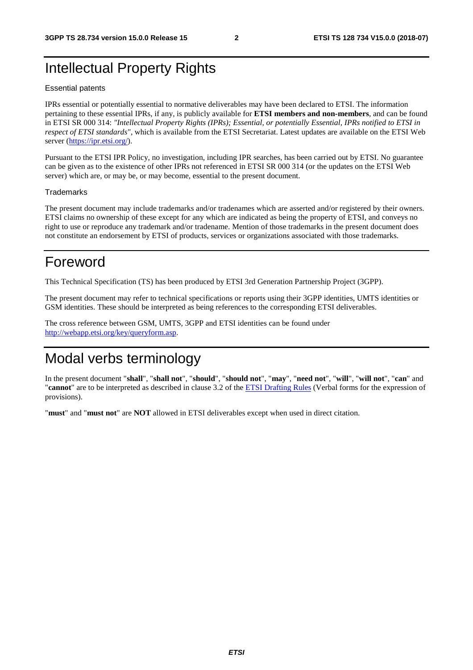### Intellectual Property Rights

#### Essential patents

IPRs essential or potentially essential to normative deliverables may have been declared to ETSI. The information pertaining to these essential IPRs, if any, is publicly available for **ETSI members and non-members**, and can be found in ETSI SR 000 314: *"Intellectual Property Rights (IPRs); Essential, or potentially Essential, IPRs notified to ETSI in respect of ETSI standards"*, which is available from the ETSI Secretariat. Latest updates are available on the ETSI Web server ([https://ipr.etsi.org/\)](https://ipr.etsi.org/).

Pursuant to the ETSI IPR Policy, no investigation, including IPR searches, has been carried out by ETSI. No guarantee can be given as to the existence of other IPRs not referenced in ETSI SR 000 314 (or the updates on the ETSI Web server) which are, or may be, or may become, essential to the present document.

#### **Trademarks**

The present document may include trademarks and/or tradenames which are asserted and/or registered by their owners. ETSI claims no ownership of these except for any which are indicated as being the property of ETSI, and conveys no right to use or reproduce any trademark and/or tradename. Mention of those trademarks in the present document does not constitute an endorsement by ETSI of products, services or organizations associated with those trademarks.

### Foreword

This Technical Specification (TS) has been produced by ETSI 3rd Generation Partnership Project (3GPP).

The present document may refer to technical specifications or reports using their 3GPP identities, UMTS identities or GSM identities. These should be interpreted as being references to the corresponding ETSI deliverables.

The cross reference between GSM, UMTS, 3GPP and ETSI identities can be found under [http://webapp.etsi.org/key/queryform.asp.](http://webapp.etsi.org/key/queryform.asp)

### Modal verbs terminology

In the present document "**shall**", "**shall not**", "**should**", "**should not**", "**may**", "**need not**", "**will**", "**will not**", "**can**" and "**cannot**" are to be interpreted as described in clause 3.2 of the [ETSI Drafting Rules](https://portal.etsi.org/Services/editHelp!/Howtostart/ETSIDraftingRules.aspx) (Verbal forms for the expression of provisions).

"**must**" and "**must not**" are **NOT** allowed in ETSI deliverables except when used in direct citation.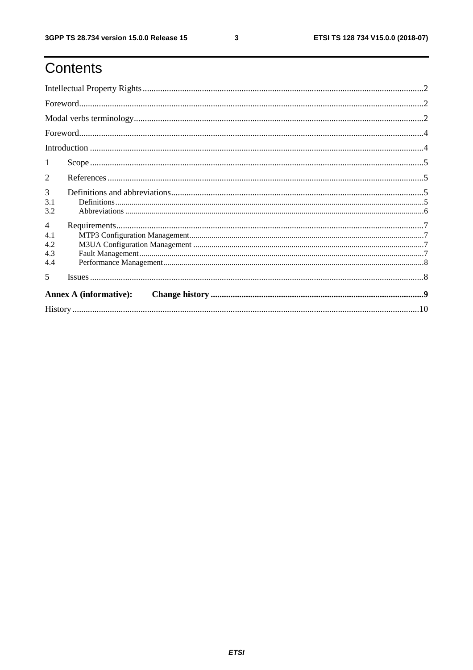# Contents

| <b>Annex A (informative):</b> |  |  |  |  |  |  |
|-------------------------------|--|--|--|--|--|--|
| $\overline{\mathbf{5}}$       |  |  |  |  |  |  |
| 4.4                           |  |  |  |  |  |  |
| 4.3                           |  |  |  |  |  |  |
| 4.2                           |  |  |  |  |  |  |
| $\overline{4}$<br>4.1         |  |  |  |  |  |  |
| 3.2                           |  |  |  |  |  |  |
| 3.1                           |  |  |  |  |  |  |
| 3                             |  |  |  |  |  |  |
| 2                             |  |  |  |  |  |  |
| 1                             |  |  |  |  |  |  |
|                               |  |  |  |  |  |  |
|                               |  |  |  |  |  |  |
|                               |  |  |  |  |  |  |
|                               |  |  |  |  |  |  |
|                               |  |  |  |  |  |  |
|                               |  |  |  |  |  |  |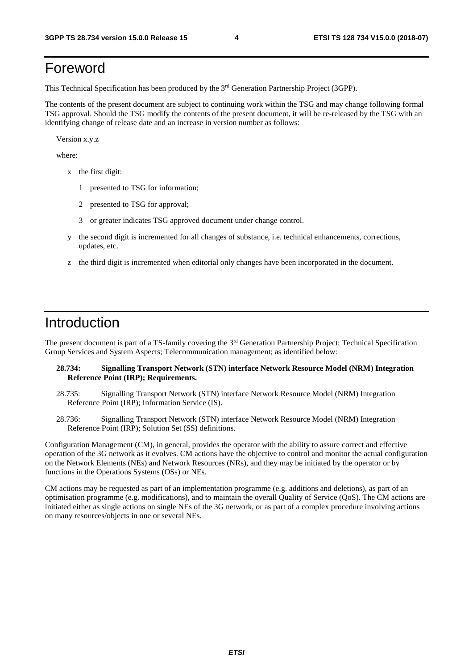### Foreword

This Technical Specification has been produced by the 3rd Generation Partnership Project (3GPP).

The contents of the present document are subject to continuing work within the TSG and may change following formal TSG approval. Should the TSG modify the contents of the present document, it will be re-released by the TSG with an identifying change of release date and an increase in version number as follows:

Version x.y.z

where:

- x the first digit:
	- 1 presented to TSG for information;
	- 2 presented to TSG for approval;
	- 3 or greater indicates TSG approved document under change control.
- y the second digit is incremented for all changes of substance, i.e. technical enhancements, corrections, updates, etc.
- z the third digit is incremented when editorial only changes have been incorporated in the document.

#### Introduction

The present document is part of a TS-family covering the 3rd Generation Partnership Project: Technical Specification Group Services and System Aspects; Telecommunication management; as identified below:

#### **28.734: Signalling Transport Network (STN) interface Network Resource Model (NRM) Integration Reference Point (IRP); Requirements.**

- 28.735: Signalling Transport Network (STN) interface Network Resource Model (NRM) Integration Reference Point (IRP); Information Service (IS).
- 28.736: Signalling Transport Network (STN) interface Network Resource Model (NRM) Integration Reference Point (IRP); Solution Set (SS) definitions.

Configuration Management (CM), in general, provides the operator with the ability to assure correct and effective operation of the 3G network as it evolves. CM actions have the objective to control and monitor the actual configuration on the Network Elements (NEs) and Network Resources (NRs), and they may be initiated by the operator or by functions in the Operations Systems (OSs) or NEs.

CM actions may be requested as part of an implementation programme (e.g. additions and deletions), as part of an optimisation programme (e.g. modifications), and to maintain the overall Quality of Service (QoS). The CM actions are initiated either as single actions on single NEs of the 3G network, or as part of a complex procedure involving actions on many resources/objects in one or several NEs.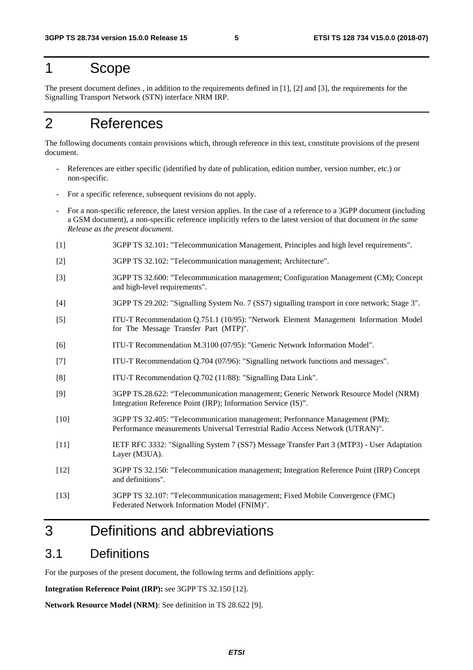#### 1 Scope

The present document defines , in addition to the requirements defined in [1], [2] and [3], the requirements for the Signalling Transport Network (STN) interface NRM IRP.

### 2 References

The following documents contain provisions which, through reference in this text, constitute provisions of the present document.

- References are either specific (identified by date of publication, edition number, version number, etc.) or non-specific.
- For a specific reference, subsequent revisions do not apply.
- For a non-specific reference, the latest version applies. In the case of a reference to a 3GPP document (including a GSM document), a non-specific reference implicitly refers to the latest version of that document *in the same Release as the present document*.
- [1] 3GPP TS 32.101: "Telecommunication Management, Principles and high level requirements".
- [2] 3GPP TS 32.102: "Telecommunication management; Architecture".
- [3] 3GPP TS 32.600: "Telecommunication management; Configuration Management (CM); Concept and high-level requirements".
- [4] 3GPP TS 29.202: "Signalling System No. 7 (SS7) signalling transport in core network; Stage 3".
- [5] ITU-T Recommendation Q.751.1 (10/95): "Network Element Management Information Model for The Message Transfer Part (MTP)".
- [6] ITU-T Recommendation M.3100 (07/95): "Generic Network Information Model".
- [7] ITU-T Recommendation Q.704 (07/96): "Signalling network functions and messages".
- [8] ITU-T Recommendation Q.702 (11/88): "Signalling Data Link".
- [9] 3GPP TS.28.622: "Telecommunication management; Generic Network Resource Model (NRM) Integration Reference Point (IRP); Information Service (IS)".
- [10] 3GPP TS 32.405: "Telecommunication management; Performance Management (PM); Performance measurements Universal Terrestrial Radio Access Network (UTRAN)".
- [11] IETF RFC 3332: "Signalling System 7 (SS7) Message Transfer Part 3 (MTP3) User Adaptation Layer (M3UA).
- [12] 3GPP TS 32.150: "Telecommunication management; Integration Reference Point (IRP) Concept and definitions".
- [13] 3GPP TS 32.107: "Telecommunication management; Fixed Mobile Convergence (FMC) Federated Network Information Model (FNIM)".

### 3 Definitions and abbreviations

#### 3.1 Definitions

For the purposes of the present document, the following terms and definitions apply:

**Integration Reference Point (IRP):** see 3GPP TS 32.150 [12].

**Network Resource Model (NRM)**: See definition in TS 28.622 [9].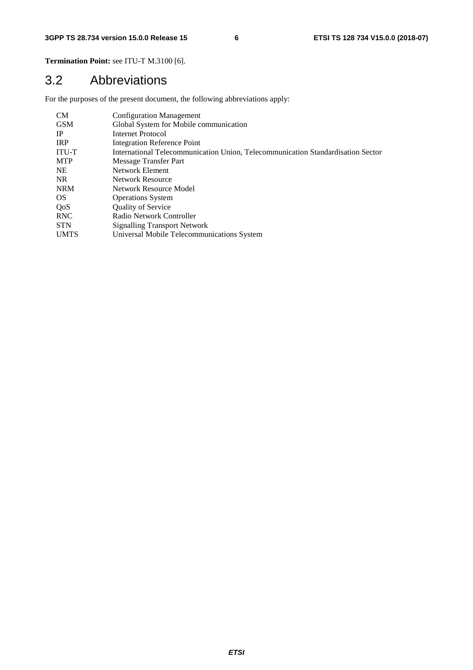**Termination Point:** see ITU-T M.3100 [6].

#### 3.2 Abbreviations

For the purposes of the present document, the following abbreviations apply:

| CМ         | <b>Configuration Management</b>                                                 |
|------------|---------------------------------------------------------------------------------|
| GSM        | Global System for Mobile communication                                          |
| IP.        | <b>Internet Protocol</b>                                                        |
| <b>IRP</b> | Integration Reference Point                                                     |
| ITU-T      | International Telecommunication Union, Telecommunication Standardisation Sector |
| MTP        | Message Transfer Part                                                           |
| NE         | Network Element                                                                 |
| NR         | Network Resource                                                                |
| NRM        | Network Resource Model                                                          |
| OS         | <b>Operations System</b>                                                        |
| QoS        | <b>Quality of Service</b>                                                       |
| RNC        | Radio Network Controller                                                        |
| STN        | <b>Signalling Transport Network</b>                                             |
| UMTS       | Universal Mobile Telecommunications System                                      |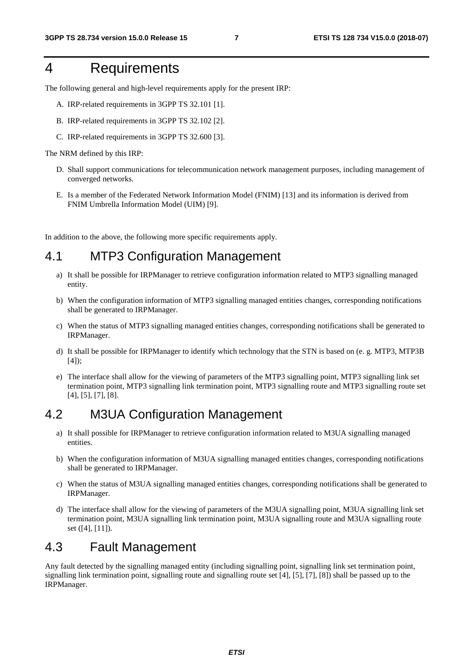### 4 Requirements

The following general and high-level requirements apply for the present IRP:

- A. IRP-related requirements in 3GPP TS 32.101 [1].
- B. IRP-related requirements in 3GPP TS 32.102 [2].
- C. IRP-related requirements in 3GPP TS 32.600 [3].

The NRM defined by this IRP:

- D. Shall support communications for telecommunication network management purposes, including management of converged networks.
- E. Is a member of the Federated Network Information Model (FNIM) [13] and its information is derived from FNIM Umbrella Information Model (UIM) [9].

In addition to the above, the following more specific requirements apply.

#### 4.1 MTP3 Configuration Management

- a) It shall be possible for IRPManager to retrieve configuration information related to MTP3 signalling managed entity.
- b) When the configuration information of MTP3 signalling managed entities changes, corresponding notifications shall be generated to IRPManager.
- c) When the status of MTP3 signalling managed entities changes, corresponding notifications shall be generated to IRPManager.
- d) It shall be possible for IRPManager to identify which technology that the STN is based on (e. g. MTP3, MTP3B [4]);
- e) The interface shall allow for the viewing of parameters of the MTP3 signalling point, MTP3 signalling link set termination point, MTP3 signalling link termination point, MTP3 signalling route and MTP3 signalling route set [4], [5], [7], [8].

#### 4.2 M3UA Configuration Management

- a) It shall possible for IRPManager to retrieve configuration information related to M3UA signalling managed entities.
- b) When the configuration information of M3UA signalling managed entities changes, corresponding notifications shall be generated to IRPManager.
- c) When the status of M3UA signalling managed entities changes, corresponding notifications shall be generated to IRPManager.
- d) The interface shall allow for the viewing of parameters of the M3UA signalling point, M3UA signalling link set termination point, M3UA signalling link termination point, M3UA signalling route and M3UA signalling route set ([4], [11]).

#### 4.3 Fault Management

Any fault detected by the signalling managed entity (including signalling point, signalling link set termination point, signalling link termination point, signalling route and signalling route set [4], [5], [7], [8]) shall be passed up to the IRPManager.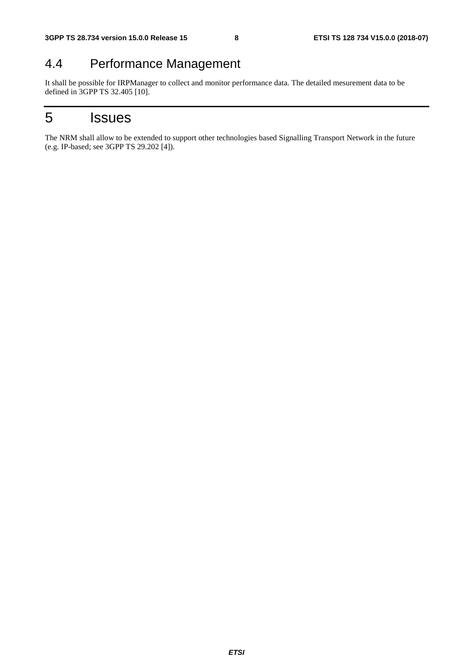### 4.4 Performance Management

It shall be possible for IRPManager to collect and monitor performance data. The detailed mesurement data to be defined in 3GPP TS 32.405 [10].

### 5 Issues

The NRM shall allow to be extended to support other technologies based Signalling Transport Network in the future (e.g. IP-based; see 3GPP TS 29.202 [4]).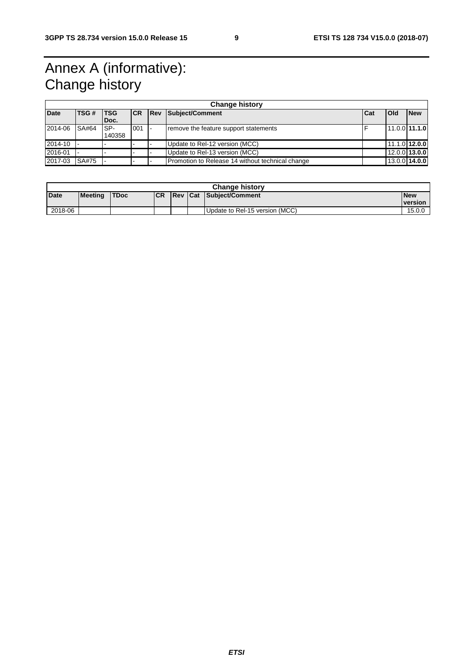## Annex A (informative): Change history

| <b>Change history</b> |       |             |           |             |                                                  |     |                 |            |
|-----------------------|-------|-------------|-----------|-------------|--------------------------------------------------|-----|-----------------|------------|
| <b>Date</b>           | TSG # | <b>ITSG</b> | <b>CR</b> | <b>IRev</b> | Subject/Comment                                  | Cat | <b>Old</b>      | <b>New</b> |
|                       |       | IDoc.       |           |             |                                                  |     |                 |            |
| 2014-06               | SA#64 | ISP-        | 001       |             | remove the feature support statements            |     | $11.0.0$ 11.1.0 |            |
|                       |       | 140358      |           |             |                                                  |     |                 |            |
| 2014-10               |       |             |           |             | Update to Rel-12 version (MCC)                   |     | 11.1.0 12.0.0   |            |
| 2016-01               |       |             |           |             | Update to Rel-13 version (MCC)                   |     | $12.0.0$ 13.0.0 |            |
| 2017-03               | SA#75 |             |           |             | Promotion to Release 14 without technical change |     | $13.0.0$ 14.0.0 |            |

| <b>Change history</b> |                |             |           |  |  |                                 |                |
|-----------------------|----------------|-------------|-----------|--|--|---------------------------------|----------------|
| <b>Date</b>           | <b>Meeting</b> | <b>TDoc</b> | <b>CR</b> |  |  | <b>IRev Cat Subiect/Comment</b> | <b>New</b>     |
|                       |                |             |           |  |  |                                 | <b>version</b> |
| 2018-06               |                |             |           |  |  | Update to Rel-15 version (MCC)  | 15.0.0         |